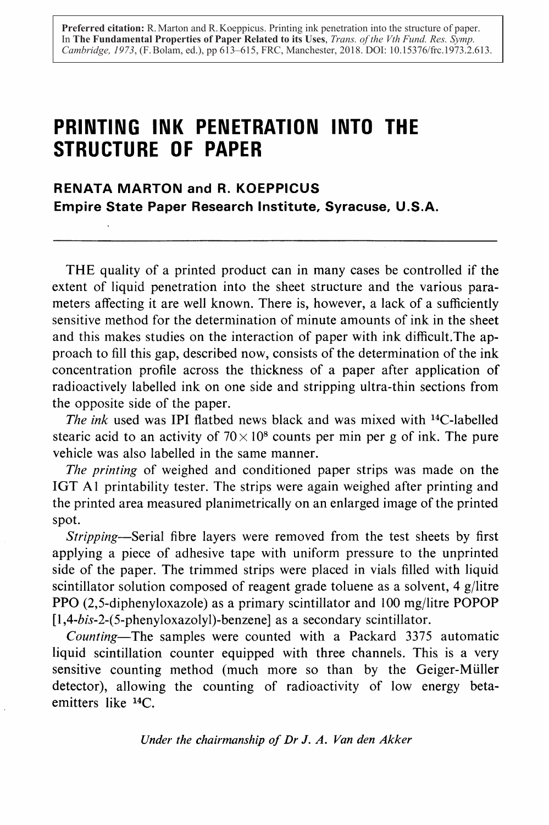**Preferred citation:** R. Marton and R. Koeppicus. Printing ink penetration into the structure of paper. In **The Fundamental Properties of Paper Related to its Uses**, *Trans. of the Vth Fund. Res. Symp. Cambridge, 1973*, (F. Bolam, ed.), pp 613–615, FRC, Manchester, 2018. DOI: 10.15376/frc.1973.2.613.

# PRINTING INK PENETRATION INTO THE STRUCTURE OF PAPER

RENATA MARTON and R. KOEPPICUS Empire State Paper Research Institute, Syracuse, U .S .A .

THE quality of a printed product can in many cases be controlled if the extent of liquid penetration into the sheet structure and the various parameters affecting it are well known. There is, however, a lack of a sufficiently sensitive method for the determination of minute amounts of ink in the sheet and this makes studies on the interaction of paper with ink difficult .The approach to fill this gap, described now, consists of the determination of the ink concentration profile across the thickness of a paper after application of radioactively labelled ink on one side and stripping ultra-thin sections from the opposite side of the paper.

The ink used was IPI flatbed news black and was mixed with  $14$ C-labelled stearic acid to an activity of  $70 \times 10^8$  counts per min per g of ink. The pure vehicle was also labelled in the same manner.

The printing of weighed and conditioned paper strips was made on the IGT A<sub>1</sub> printability tester. The strips were again weighed after printing and the printed area measured planimetrically on an enlarged image ofthe printed spot.

Stripping—Serial fibre layers were removed from the test sheets by first applying a piece of adhesive tape with uniform pressure to the unprinted side of the paper. The trimmed strips were placed in vials filled with liquid scintillator solution composed of reagent grade toluene as a solvent, 4 g/litre PPO (2,5-diphenyloxazole) as a primary scintillator and 100 mg/litre POPOP  $[1,4-bis-2-(5-phenyloxazolyl)-benzenel]$  as a secondary scintillator.

Counting—The samples were counted with a Packard 3375 automatic liquid scintillation counter equipped with three channels. This is a very sensitive counting method (much more so than by the Geiger-Miller detector), allowing the counting of radioactivity of low energy betaemitters like 14C.

Under the chairmanship of Dr J. A. Van den Akker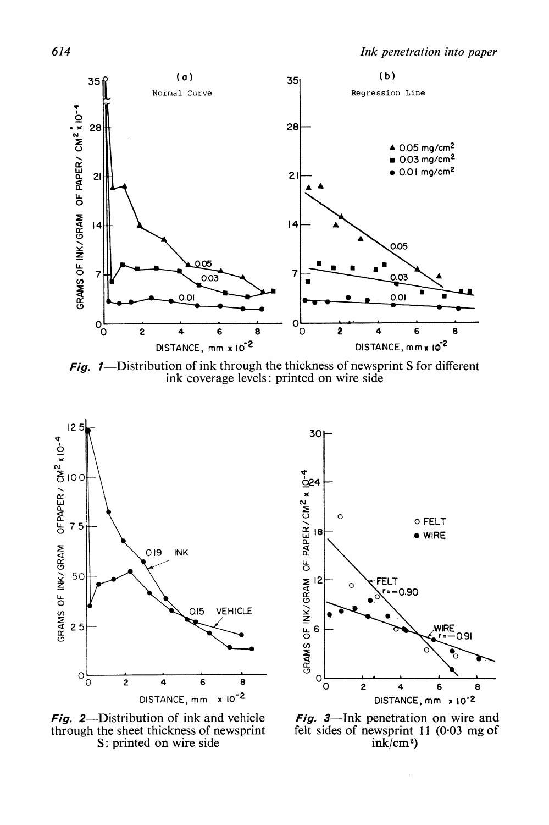

Fig.  $1$ —Distribution of ink through the thickness of newsprint S for different ink coverage levels : printed on wire side



Fig. 2—Distribution of ink and vehicle Fig. 3—Ink penetration on wire and through the sheet thickness of newsprint felt sides of newsprint 11 (0.03 mg of through the sheet thickness of newsprint felt sides of newsprint  $S$ ; printed on wire side  $ink/cm^2$ S: printed on wire side

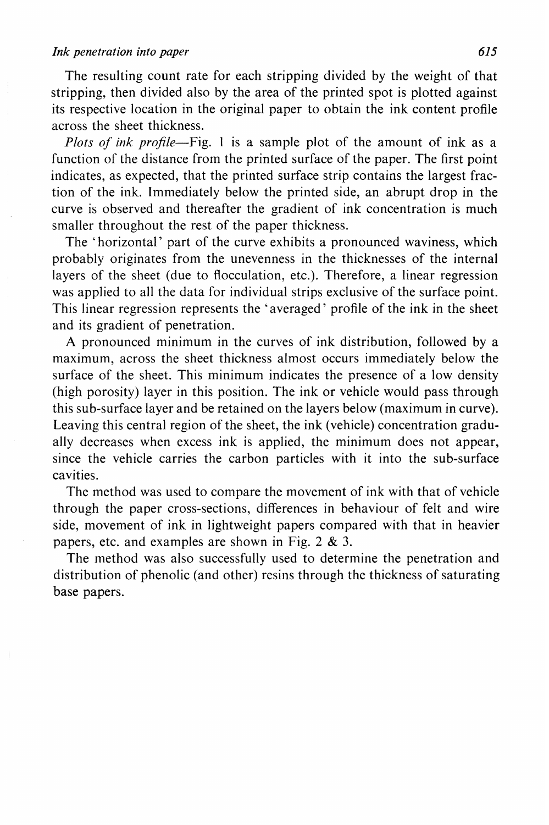#### Ink penetration into paper

The resulting count rate for each stripping divided by the weight of that stripping, then divided also by the area of the printed spot is plotted against its respective location in the original paper to obtain the ink content profile across the sheet thickness.

*Plots of ink profile*—Fig. 1 is a sample plot of the amount of ink as a function of the distance from the printed surface of the paper. The first point indicates, as expected, that the printed surface strip contains the largest fraction of the ink. Immediately below the printed side, an abrupt drop in the curve is observed and thereafter the gradient of ink concentration is much smaller throughout the rest of the paper thickness.

The 'horizontal' part of the curve exhibits a pronounced waviness, which probably originates from the unevenness in the thicknesses of the internal lavers of the sheet (due to flocculation, etc.). Therefore, a linear regression was applied to all the data for individual strips exclusive of the surface point. This linear regression represents the 'averaged' profile of the ink in the sheet and its gradient of penetration.

A pronounced minimum in the curves of ink distribution, followed by a maximum, across the sheet thickness almost occurs immediately below the surface of the sheet. This minimum indicates the presence of a low density (high porosity) layer in this position. The ink or vehicle would pass through this sub-surface layer and be retained on the layers below (maximum in curve). Leaving this central region of the sheet, the ink (vehicle) concentration gradually decreases when excess ink is applied, the minimum does not appear, since the vehicle carries the carbon particles with it into the sub-surface cavities.

The method was used to compare the movement of ink with that of vehicle through the paper cross-sections, differences in behaviour of felt and wire side, movement of ink in lightweight papers compared with that in heavier papers, etc. and examples are shown in Fig. 2  $\&$  3.

The method was also successfully used to determine the penetration and distribution of phenolic (and other) resins through the thickness of saturating base papers.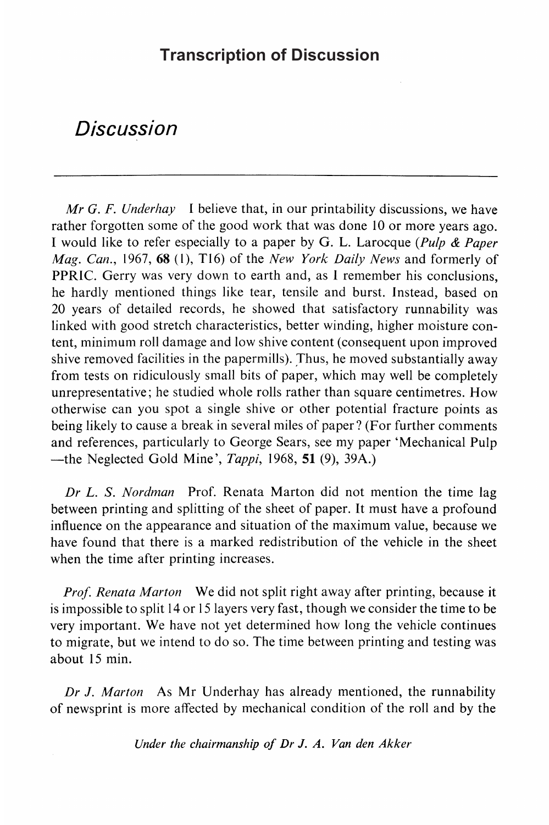### **Transcription of Discussion**

## Discussion

Mr G. F. Underhay I believe that, in our printability discussions, we have rather forgotten some of the good work that was done 10 or more years ago. <sup>I</sup> would like to refer especially to a paper by G. L. Larocque (Pulp & Paper *Mag. Can.*, 1967, 68 (1), T16) of the *New York Daily News* and formerly of PPRIC. Gerry was very down to earth and, as <sup>I</sup> remember his conclusions, he hardly mentioned things like tear, tensile and burst. Instead, based on 20 years of detailed records, he showed that satisfactory runnability was linked with good stretch characteristics, better winding, higher moisture content, minimum roll damage and low shive content (consequent upon improved shive removed facilities in the papermills). Thus, he moved substantially away from tests on ridiculously small bits of paper, which may well be completely unrepresentative ; he studied whole rolls rather than square centimetres . How otherwise can you spot a single shive or other potential fracture points as being likely to cause a break in several miles of paper? (For further comments and references, particularly to George Sears, see my paper `Mechanical Pulp -the Neglected Gold Mine',  $Tappi$ , 1968, 51 (9), 39A.)

Dr L. S. Nordman Prof. Renata Marton did not mention the time lag between printing and splitting of the sheet of paper. It must have a profound influence on the appearance and situation of the maximum value, because we have found that there is a marked redistribution of the vehicle in the sheet when the time after printing increases.

Prof. Renata Marton We did not split right away after printing, because it is impossible to split 14 or <sup>15</sup> layers very fast, though we consider the time to be very important. We have not yet determined how long the vehicle continues to migrate, but we intend to do so. The time between printing and testing was about 15 min.

Dr J. Marton As Mr Underhay has already mentioned, the runnability of newsprint is more affected by mechanical condition of the roll and by the

Under the chairmanship of Dr J. A. Van den Akker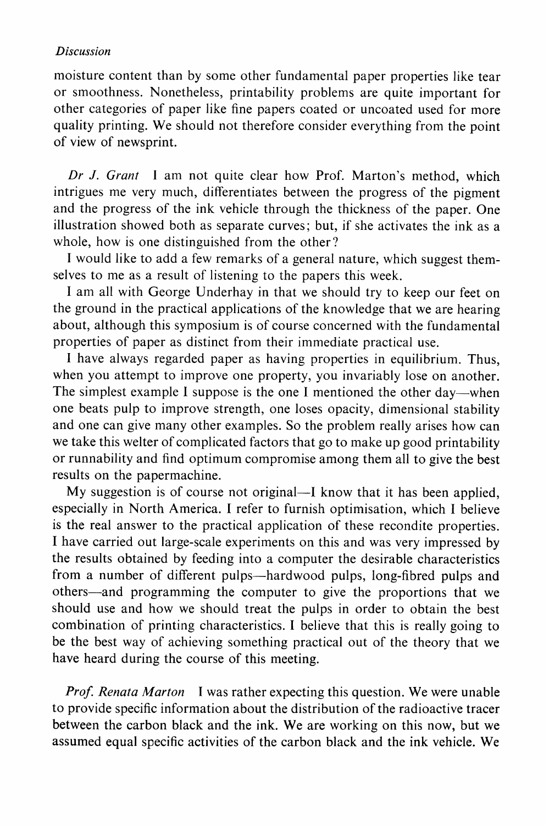#### Discussion

moisture content than by some other fundamental paper properties like tear or smoothness. Nonetheless, printability problems are quite important for other categories of paper like fine papers coated or uncoated used for more quality printing. We should not therefore consider everything from the point of view of newsprint.

Dr J. Grant I am not quite clear how Prof. Marton's method, which intrigues me very much, differentiates between the progress of the pigment and the progress of the ink vehicle through the thickness of the paper. One illustration showed both as separate curves ; but, if she activates the ink as a whole, how is one distinguished from the other?

<sup>I</sup> would like to add a few remarks of a general nature, which suggest themselves to me as a result of listening to the papers this week.

<sup>I</sup> am all with George Underhay in that we should try to keep our feet on the ground in the practical applications of the knowledge that we are hearing about, although this symposium is of course concerned with the fundamental properties of paper as distinct from their immediate practical use .

I have always regarded paper as having properties in equilibrium. Thus, when you attempt to improve one property, you invariably lose on another. The simplest example I suppose is the one I mentioned the other day—when one beats pulp to improve strength, one loses opacity, dimensional stability and one can give many other examples. So the problem really arises how can we take this welter of complicated factors that go to make up good printability or runnability and find optimum compromise among them all to give the best results on the papermachine.

My suggestion is of course not original—I know that it has been applied, especially in North America. <sup>I</sup> refer to furnish optimisation, which <sup>I</sup> believe is the real answer to the practical application of these recondite properties. <sup>I</sup> have carried out large-scale experiments on this and was very impressed by the results obtained by feeding into a computer the desirable characteristics from a number of different pulps—hardwood pulps, long-fibred pulps and others—and programming the computer to give the proportions that we should use and how we should treat the pulps in order to obtain the best combination of printing characteristics . <sup>I</sup> believe that this is really going to be the best way of achieving something practical out of the theory that we have heard during the course of this meeting.

**Prof.** Renata Marton I was rather expecting this question. We were unable to provide specific information about the distribution of the radioactive tracer between the carbon black and the ink. We are working on this now, but we assumed equal specific activities of the carbon black and the ink vehicle. We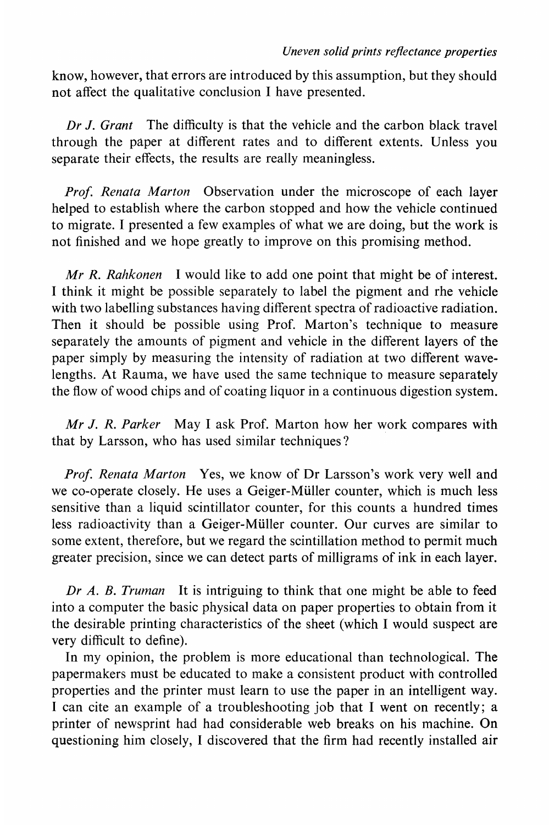know, however, that errors are introduced by this assumption, but they should not affect the qualitative conclusion <sup>I</sup> have presented .

Dr J. Grant The difficulty is that the vehicle and the carbon black travel through the paper at different rates and to different extents. Unless you separate their effects, the results are really meaningless.

Prof. Renata Marton Observation under the microscope of each layer helped to establish where the carbon stopped and how the vehicle continued to migrate . <sup>I</sup> presented a few examples of what we are doing, but the work is not finished and we hope greatly to improve on this promising method.

 $Mr R. Rahkonen$  I would like to add one point that might be of interest. <sup>I</sup> think it might be possible separately to label the pigment and the vehicle with two labelling substances having different spectra of radioactive radiation. Then it should be possible using Prof. Marton's technique to measure separately the amounts of pigment and vehicle in the different layers of the paper simply by measuring the intensity of radiation at two different wavelengths. At Rauma, we have used the same technique to measure separately the flow of wood chips and of coating liquor in a continuous digestion system.

Mr J. R. Parker May I ask Prof. Marton how her work compares with that by Larsson, who has used similar techniques?

Prof. Renata Marton Yes, we know of Dr Larsson's work very well and we co-operate closely. He uses a Geiger-Müller counter, which is much less sensitive than a liquid scintillator counter, for this counts a hundred times less radioactivity than a Geiger-Müller counter. Our curves are similar to some extent, therefore, but we regard the scintillation method to permit much greater precision, since we can detect parts of milligrams of ink in each layer.

Dr A. B. Truman It is intriguing to think that one might be able to feed into a computer the basic physical data on paper properties to obtain from it the desirable printing characteristics of the sheet (which <sup>I</sup> would suspect are very difficult to define).

In my opinion, the problem is more educational than technological. The papermakers must be educated to make a consistent product with controlled properties and the printer must learn to use the paper in an intelligent way. I can cite an example of a troubleshooting job that I went on recently; a printer of newsprint had had considerable web breaks on his machine. On questioning him closely, <sup>I</sup> discovered that the firm had recently installed air